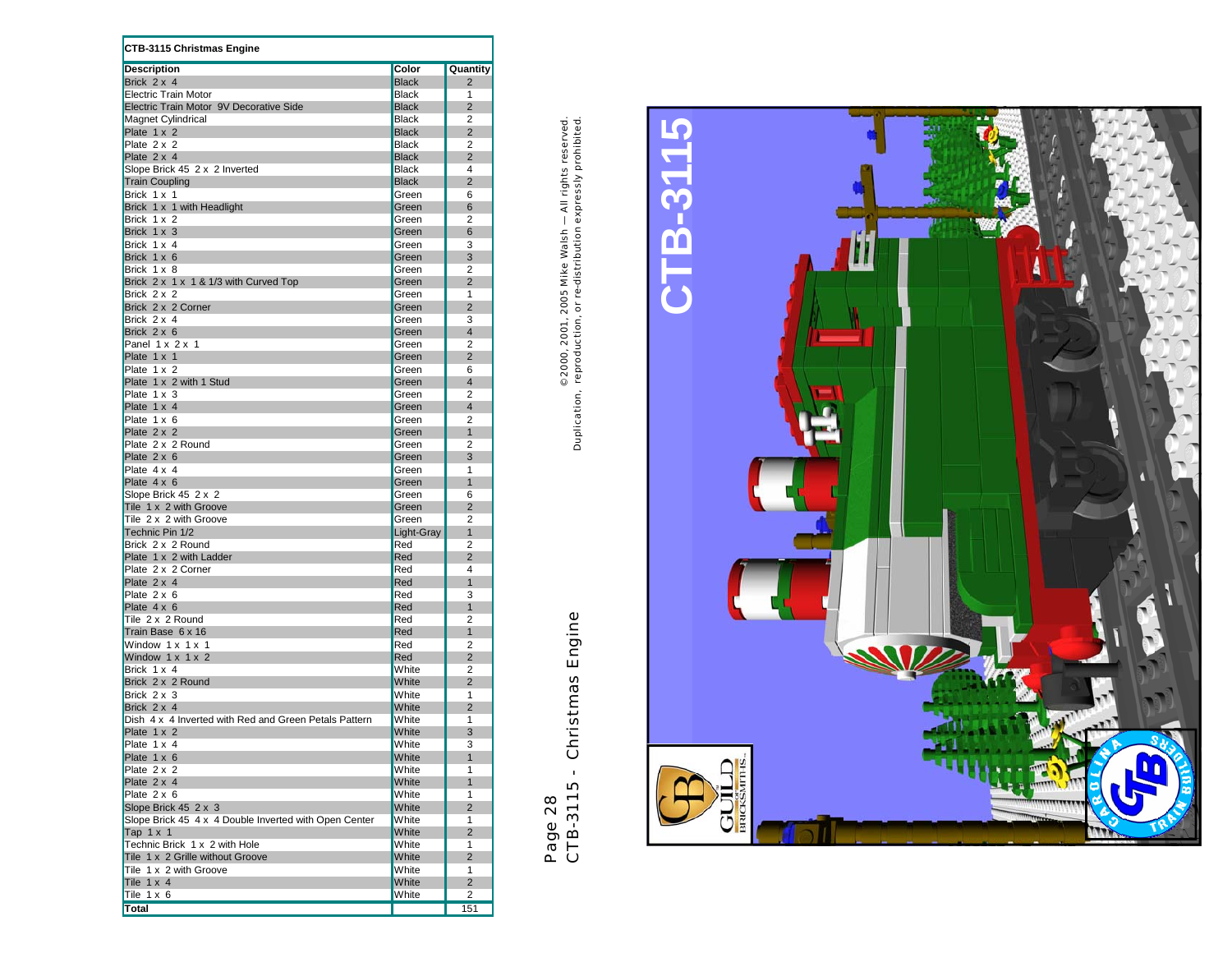| <b>CTB-3115 Christmas Engine</b>                      |                |                     |
|-------------------------------------------------------|----------------|---------------------|
| <b>Description</b>                                    | Color          | Quantity            |
| Brick $2 \times 4$                                    | <b>Black</b>   | $\overline{2}$      |
| <b>Electric Train Motor</b>                           | <b>Black</b>   | 1                   |
| Electric Train Motor 9V Decorative Side               | <b>Black</b>   | $\overline{2}$      |
| Magnet Cylindrical                                    | <b>Black</b>   | $\overline{2}$      |
| Plate 1 x 2                                           | <b>Black</b>   | $\overline{2}$      |
| Plate 2 x 2                                           | <b>Black</b>   | 2                   |
| Plate 2 x 4                                           | <b>Black</b>   | $\overline{2}$      |
| Slope Brick 45 2 x 2 Inverted                         | <b>Black</b>   | 4                   |
| <b>Train Coupling</b>                                 | <b>Black</b>   | $\overline{2}$      |
| Brick 1 x 1                                           | Green          | 6                   |
| Brick 1 x 1 with Headlight                            | Green<br>Green | 6<br>2              |
| Brick 1 x 2<br>Brick 1 x 3                            | Green          | 6                   |
| Brick 1 x 4                                           | Green          | 3                   |
| Brick 1 x 6                                           | Green          | 3                   |
| Brick 1 x 8                                           | Green          | 2                   |
| Brick 2 x 1 x 1 & 1/3 with Curved Top                 | Green          | $\overline{2}$      |
| Brick 2 x 2                                           | Green          | 1                   |
| Brick 2 x 2 Corner                                    | Green          | $\overline{2}$      |
| Brick 2 x 4                                           | Green          | 3                   |
| Brick 2 x 6                                           | Green          | 4                   |
| Panel $1 \times 2 \times 1$                           | Green          | 2                   |
| Plate 1 x 1                                           | Green          | $\overline{2}$      |
| Plate 1 x 2                                           | Green          | 6                   |
| Plate 1 x 2 with 1 Stud                               | Green          | $\overline{4}$      |
| Plate 1 x 3                                           | Green          | 2                   |
| Plate 1 x 4                                           | Green          | $\overline{4}$      |
| Plate 1 x 6                                           | Green          | 2                   |
| Plate 2 x 2                                           | Green          | $\overline{1}$      |
| Plate 2 x 2 Round                                     | Green          | 2                   |
| Plate $2 \times 6$<br>Plate $4 \times 4$              | Green          | 3<br>1              |
| Plate $4 \times 6$                                    | Green<br>Green | 1                   |
| Slope Brick 45 2 x 2                                  | Green          | 6                   |
| Tile 1 x 2 with Groove                                | Green          | $\overline{2}$      |
| Tile 2 x 2 with Groove                                | Green          | $\overline{2}$      |
| Technic Pin 1/2                                       | Light-Gray     | 1                   |
| Brick 2 x 2 Round                                     | Red            | 2                   |
| Plate 1 x 2 with Ladder                               | Red            | $\overline{2}$      |
| Plate 2 x 2 Corner                                    | Red            | 4                   |
| Plate 2 x 4                                           | Red            | $\overline{1}$      |
| Plate $2 \times 6$                                    | Red            | 3                   |
| Plate $4 \times 6$                                    | Red            | $\overline{1}$      |
| Tile 2 x 2 Round                                      | Red            | 2                   |
| Train Base 6 x 16                                     | Red            | $\mathbf{1}$        |
| Window 1 x 1 x 1                                      | Red            | 2                   |
| Window $1 \times 1 \times 2$<br>Brick 1 x 4           | Red            | $\overline{2}$      |
| Brick 2 x 2 Round                                     | White<br>White | 2<br>$\overline{2}$ |
| Brick 2 x 3                                           | White          | 1                   |
| Brick 2 x 4                                           | White          | $\overline{2}$      |
| Dish 4 x 4 Inverted with Red and Green Petals Pattern | White          | 1                   |
| Plate 1 x 2                                           | White          | 3                   |
| Plate 1 x 4                                           | White          | 3                   |
| Plate 1 x 6                                           | White          | $\mathbf{1}$        |
| Plate 2 x 2                                           | White          | 1                   |
| Plate 2 x 4                                           | White          | $\mathbf{1}$        |
| Plate $2 \times 6$                                    | White          | 1                   |
| Slope Brick 45 2 x 3                                  | White          | $\overline{2}$      |
| Slope Brick 45 4 x 4 Double Inverted with Open Center | White          | 1                   |
| Tap $1 \times 1$                                      | White          | $\overline{2}$      |
| Technic Brick 1 x 2 with Hole                         | White          | 1                   |
| Tile 1 x 2 Grille without Groove                      | White          | $\overline{2}$      |
| Tile 1 x 2 with Groove                                | White          | $\mathbf{1}$        |
| Tile $1 \times 4$                                     | White          | $\overline{2}$      |
| Tile $1 \times 6$                                     | White          | 2                   |
| <b>Total</b>                                          |                | 151                 |

Page 28<br>CTB-3115 - Christmas Engine CTB-3115 - Christmas Engine

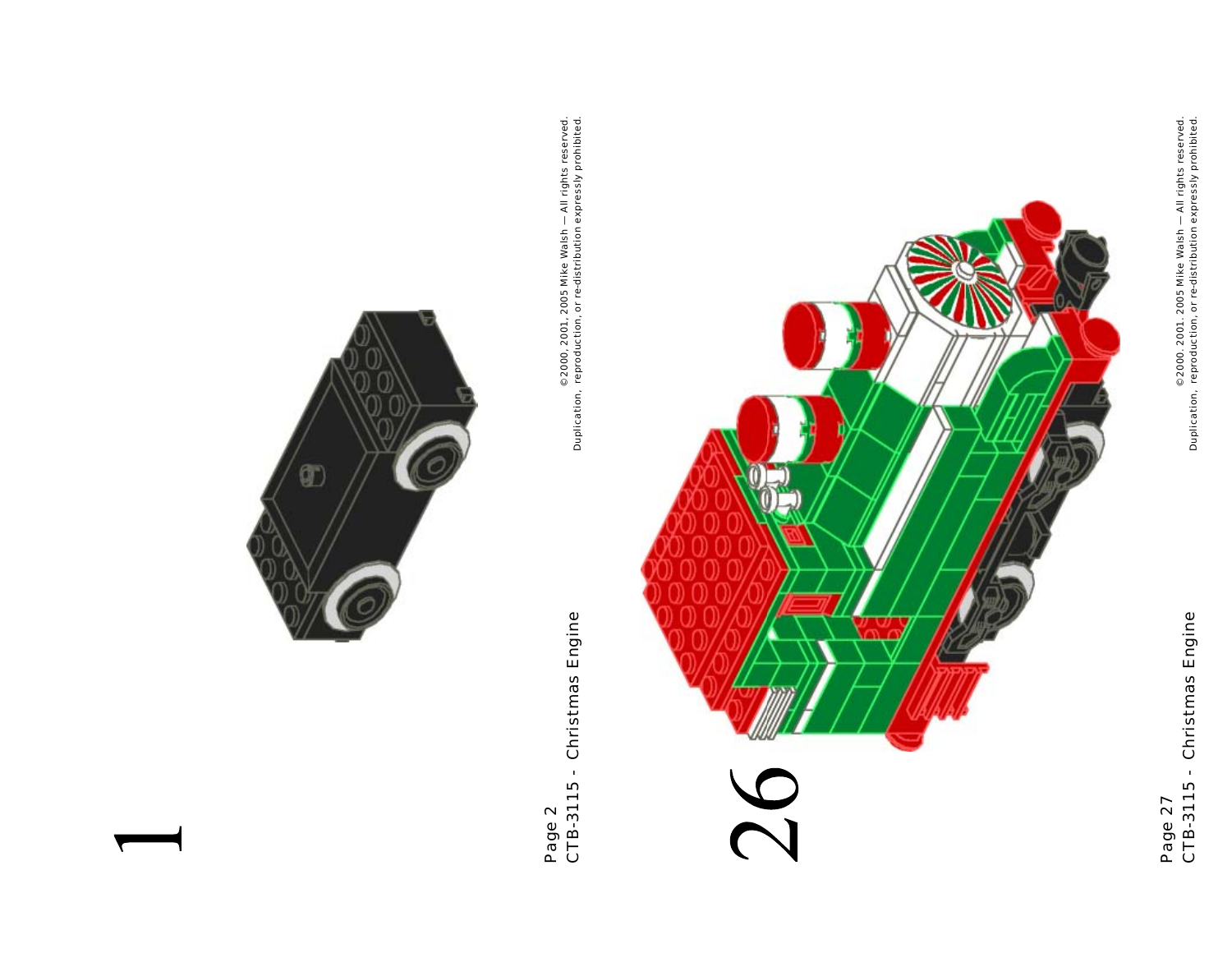

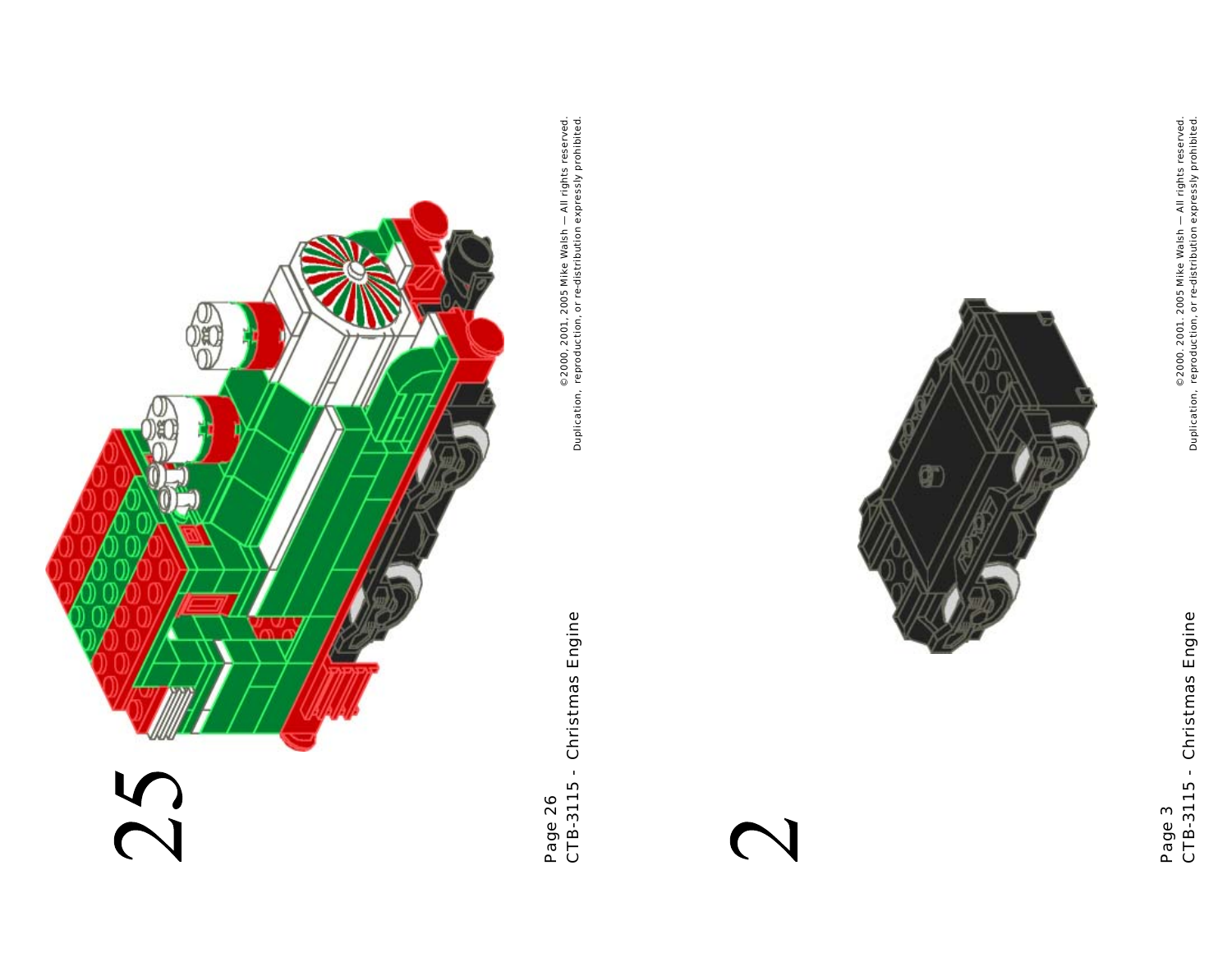





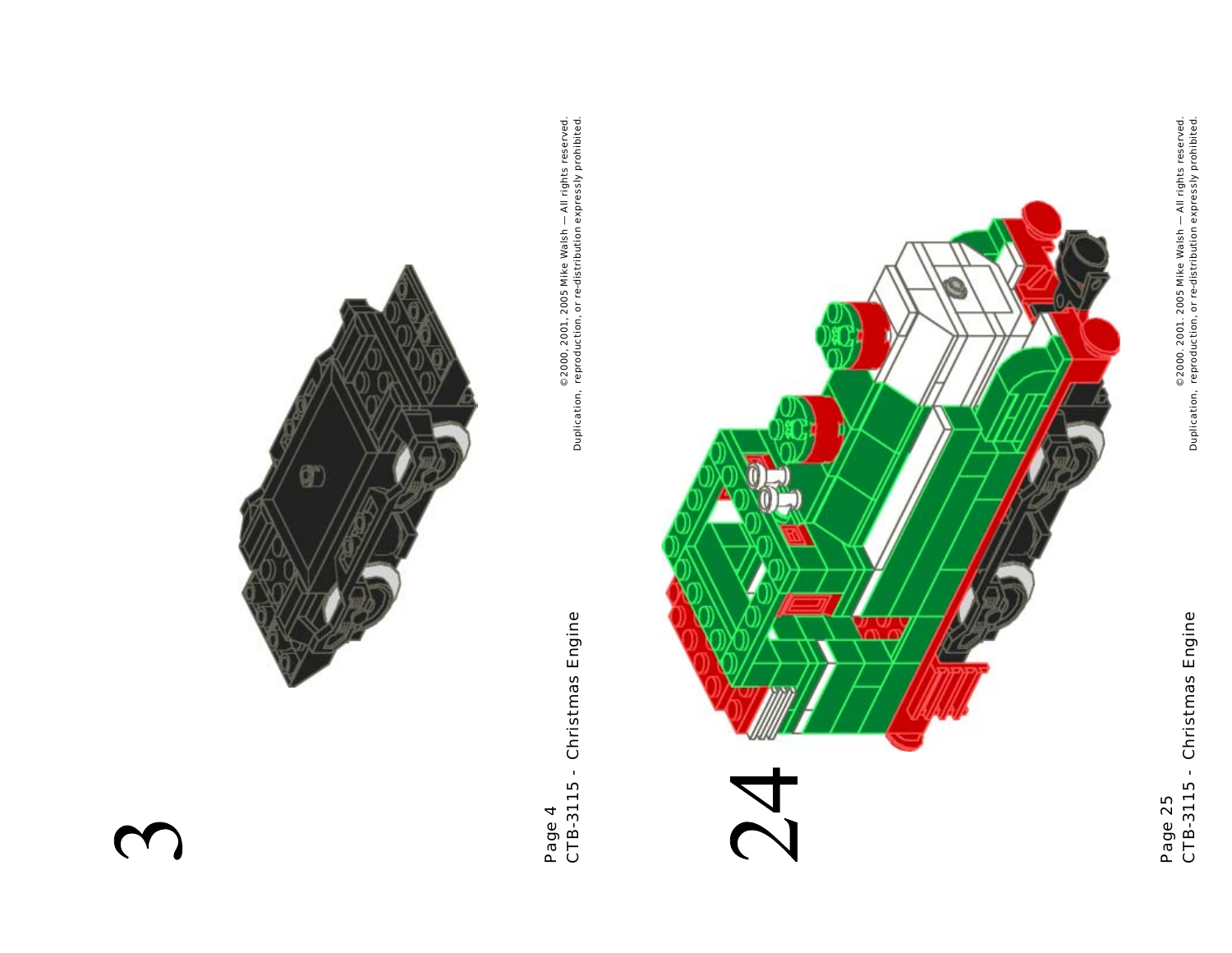

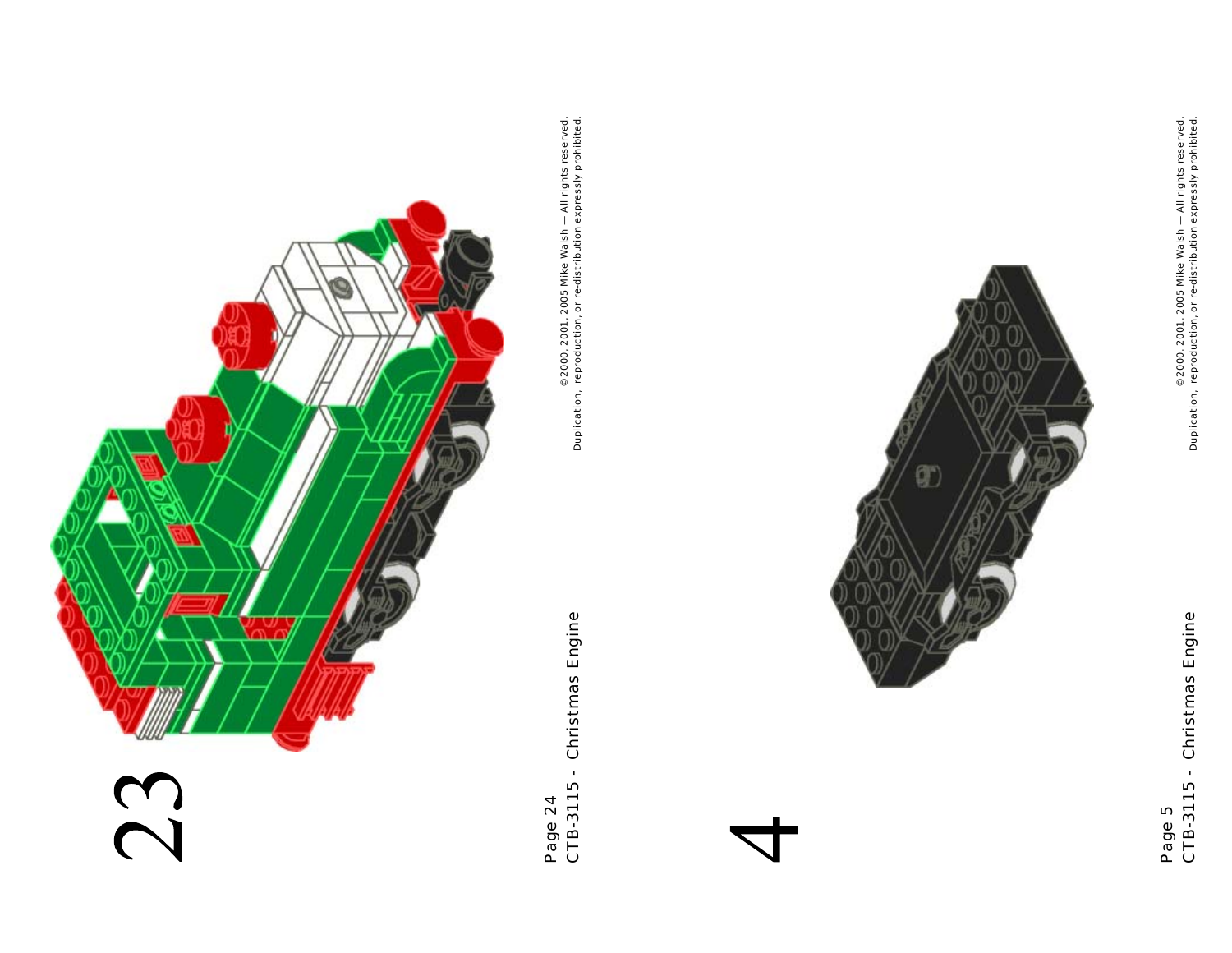

 $_{\oplus}$  2000, 2001, 2005 Mike Walsh — All rights reserved.<br>Duplication, reproduction, or re-distribution expressly prohibited. © 2000, 2001, 2005 Mike Walsh — All rights reserved. Duplication, reproduction, or re-distribution expressly prohibited.



 $\circ$  2000. 2001. 2005 Mike Walsh  $-$  All rights reserved.<br>Duplication, reproduction, or re-distribution expressly prohibited. © 2000. 2001. 2005 Mike Walsh — All rights reserved. Duplication, reproduction, or re-distribution expressly prohibited.

Page 5<br>CTB-3115 - Christmas Engine CTB-3115 - Christmas Engine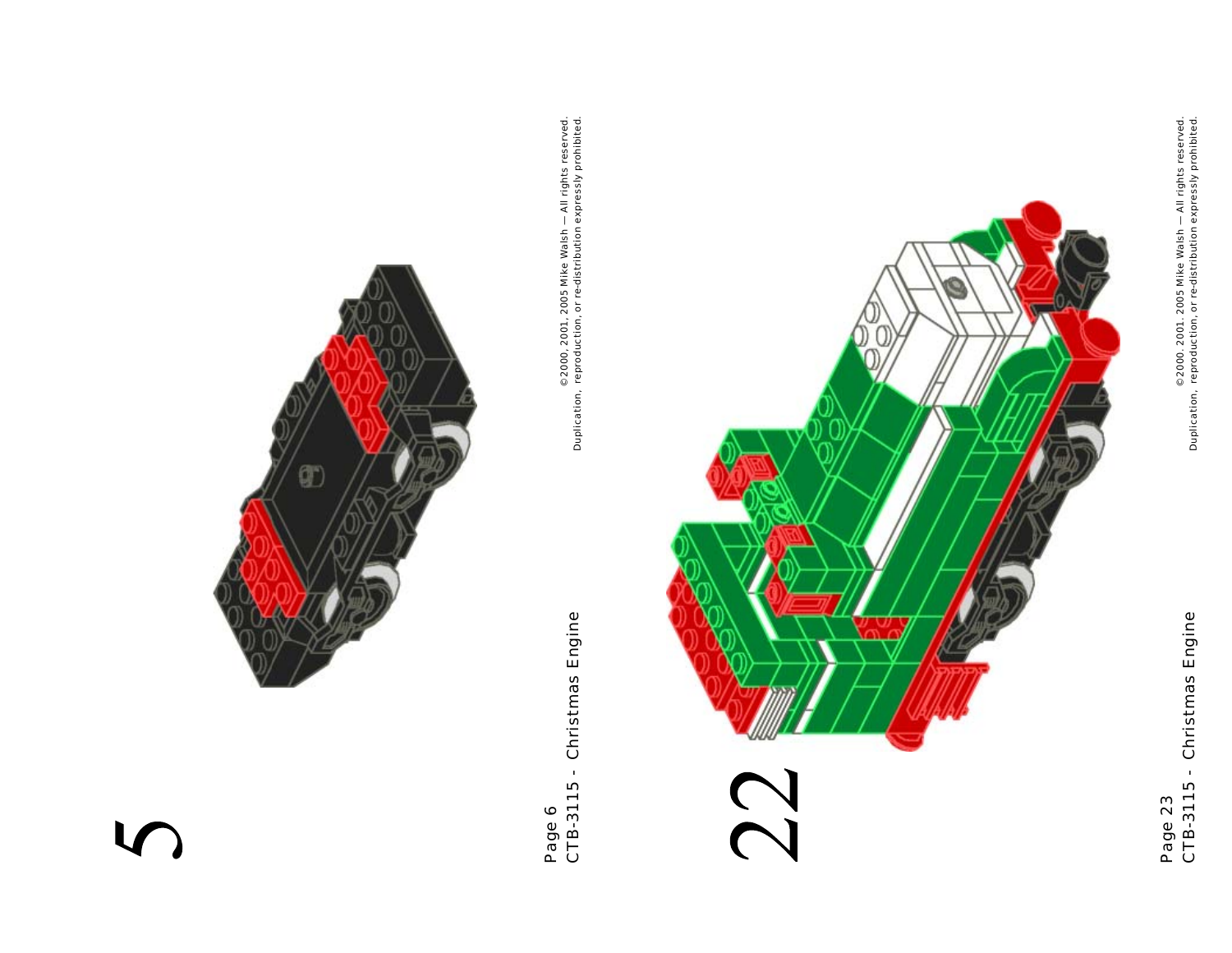

 $_{\oplus}$  2000, 2001, 2005 Mike Walsh — All rights reserved.<br>Duplication, reproduction, or re-distribution expressly prohibited. © 2000, 2001, 2005 Mike Walsh — All rights reserved. Duplication, reproduction, or re-distribution expressly prohibited.



Page 23<br>CTB-3115 - Christmas Engine CTB-3115 - Christmas Engine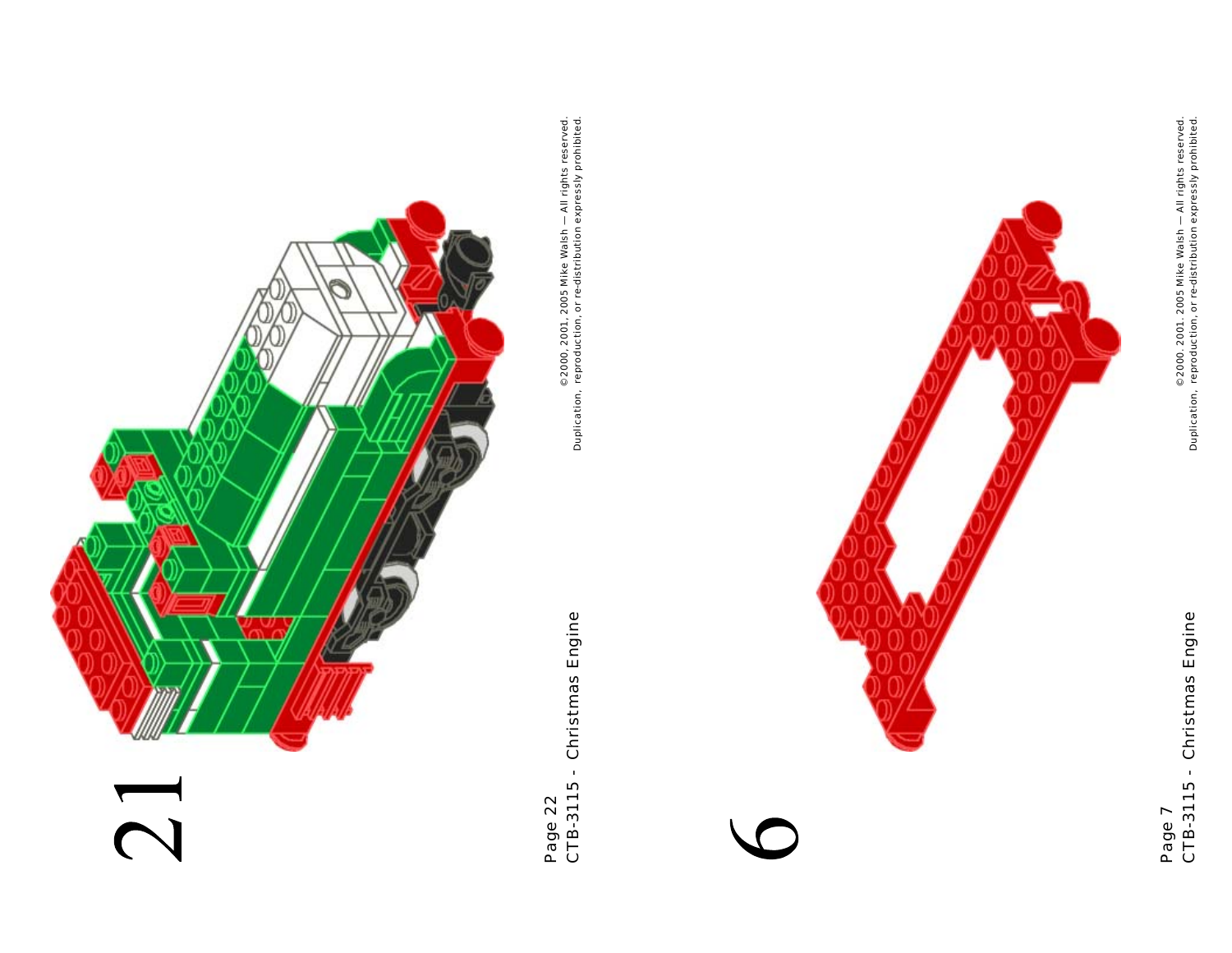

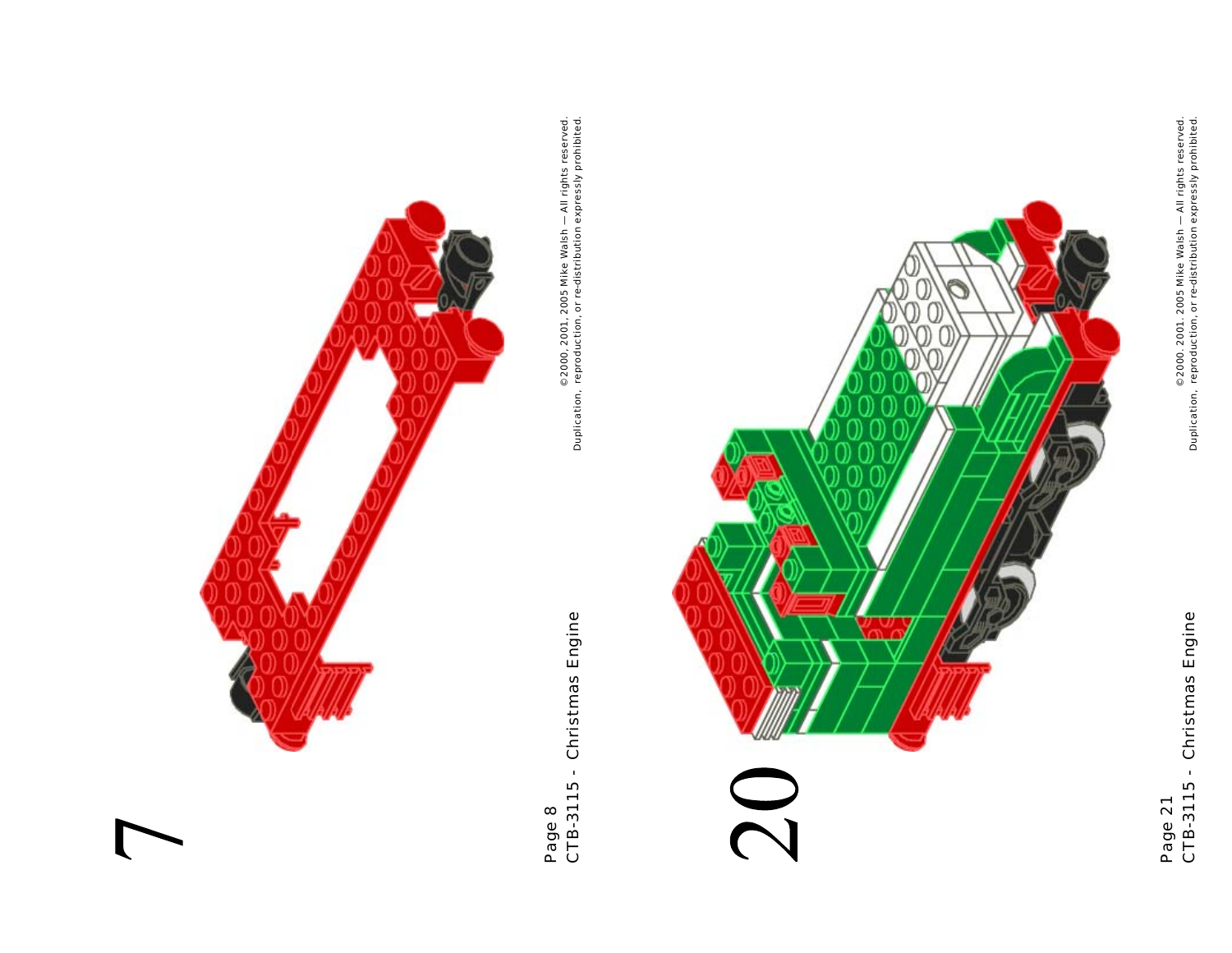

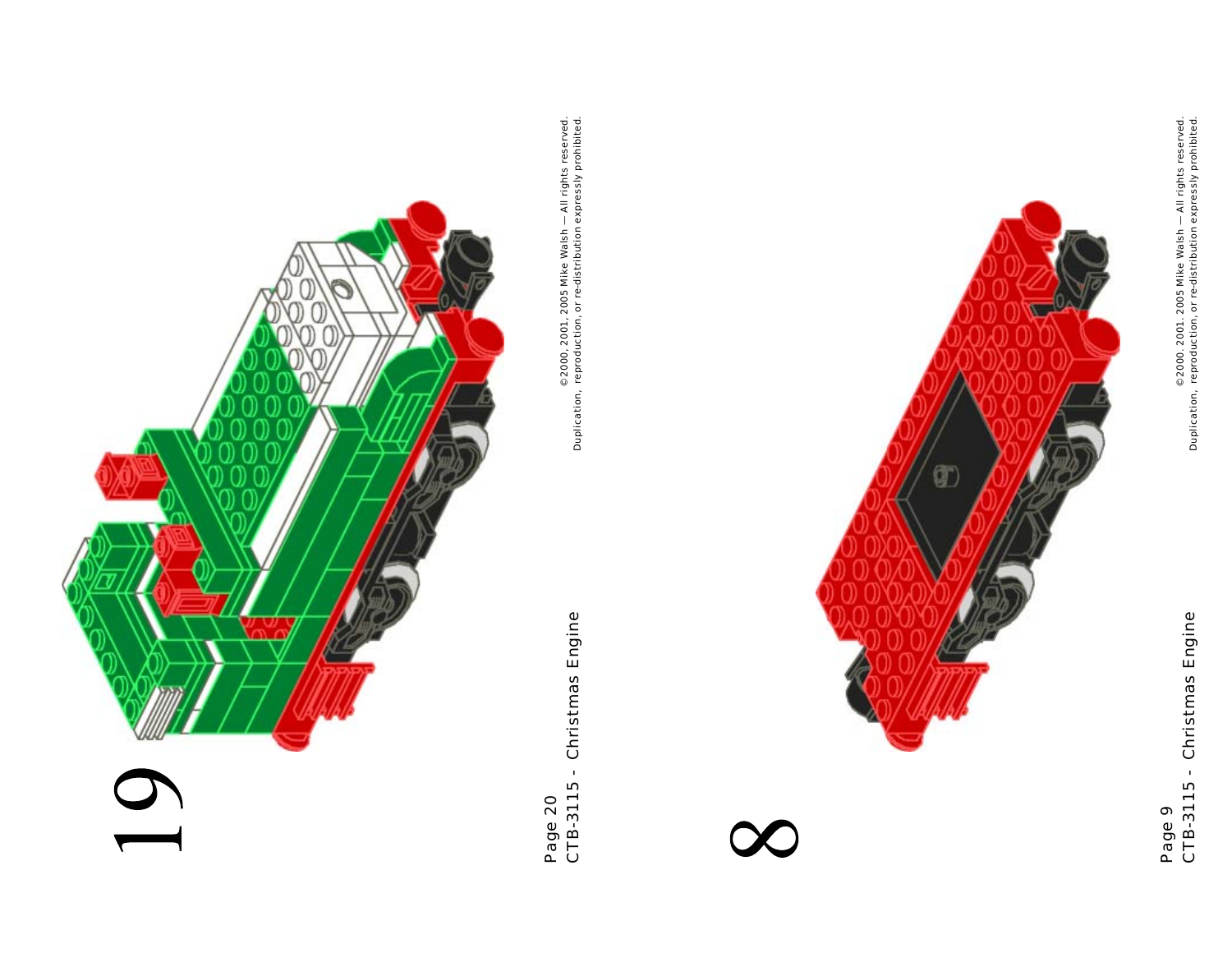

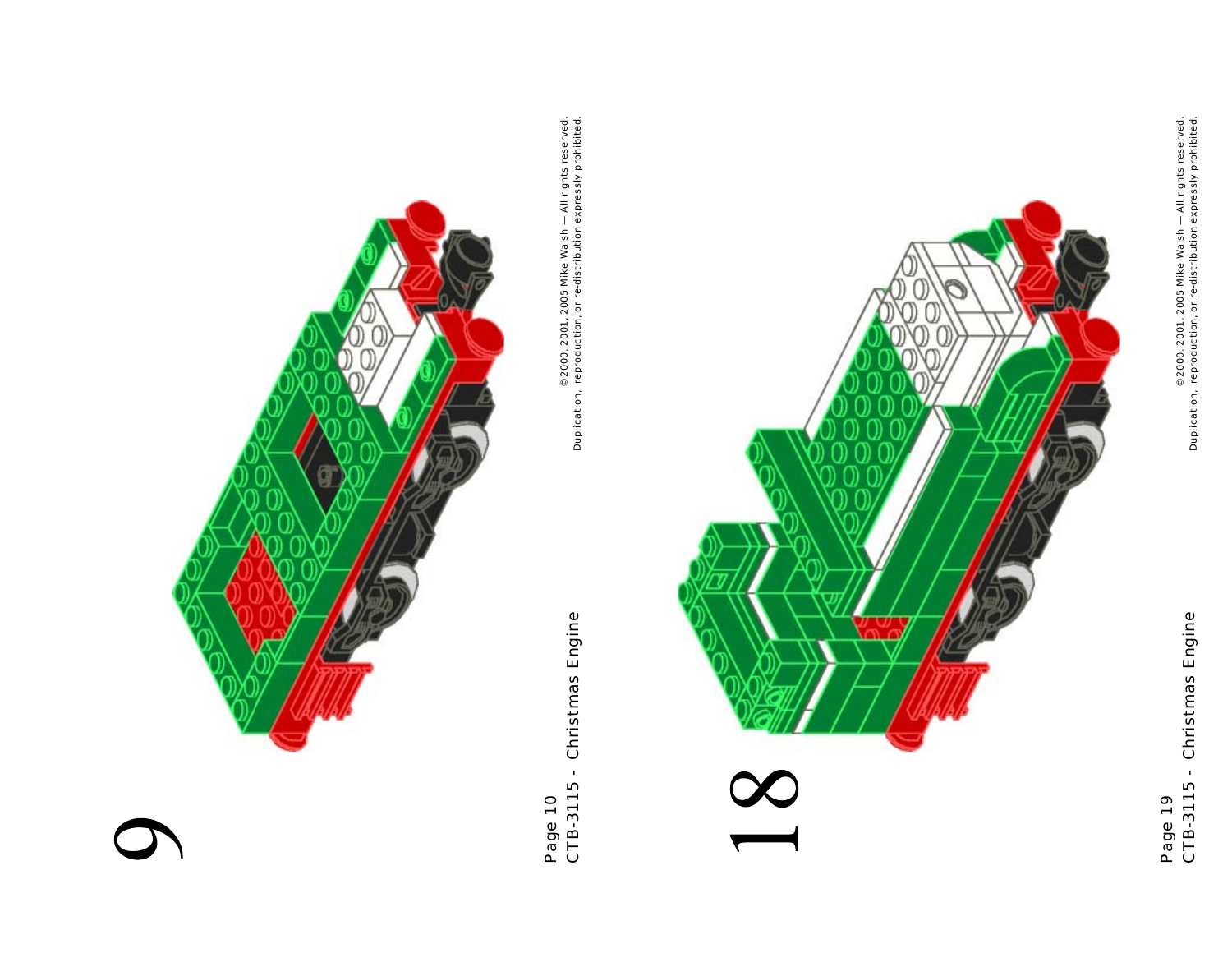

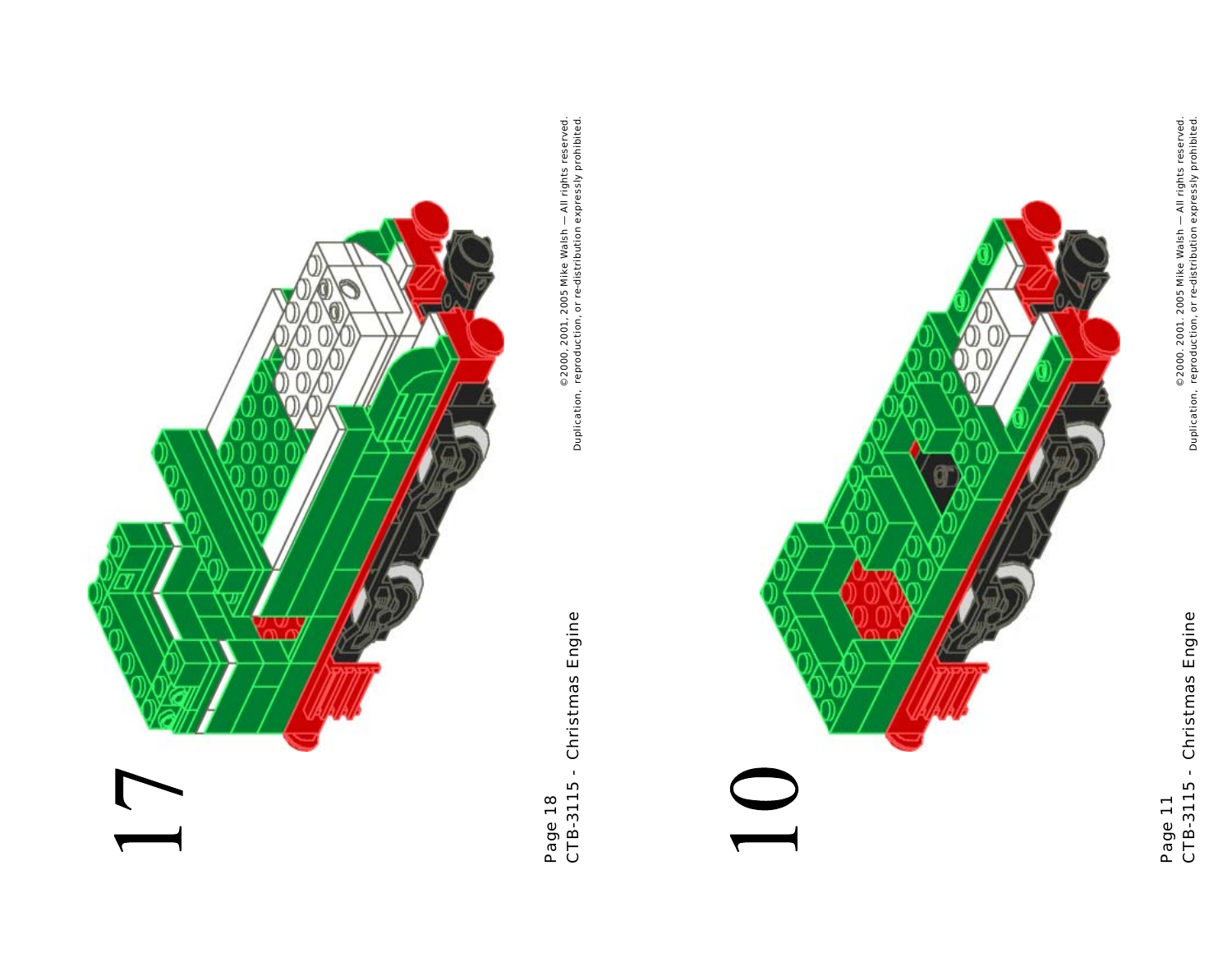

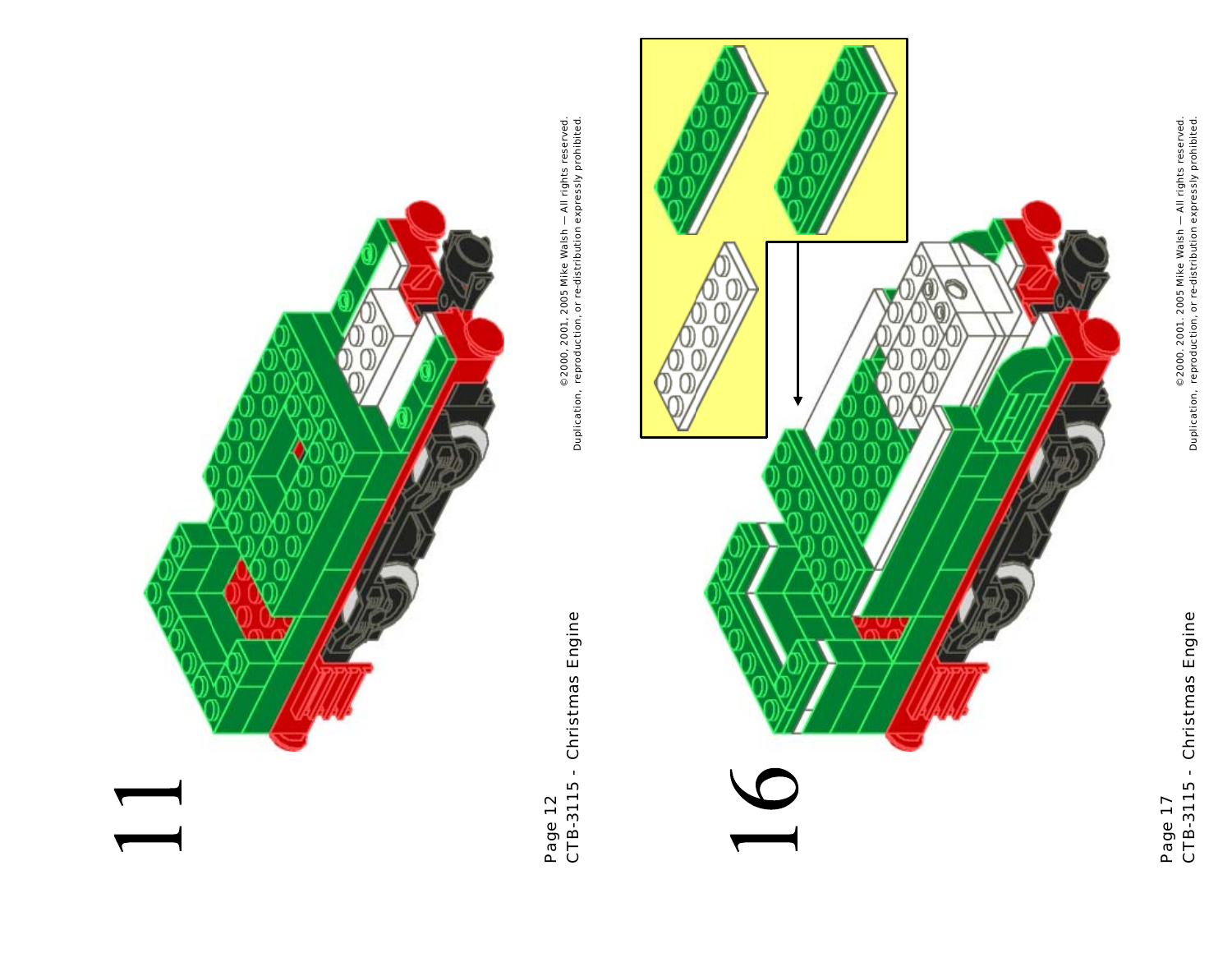

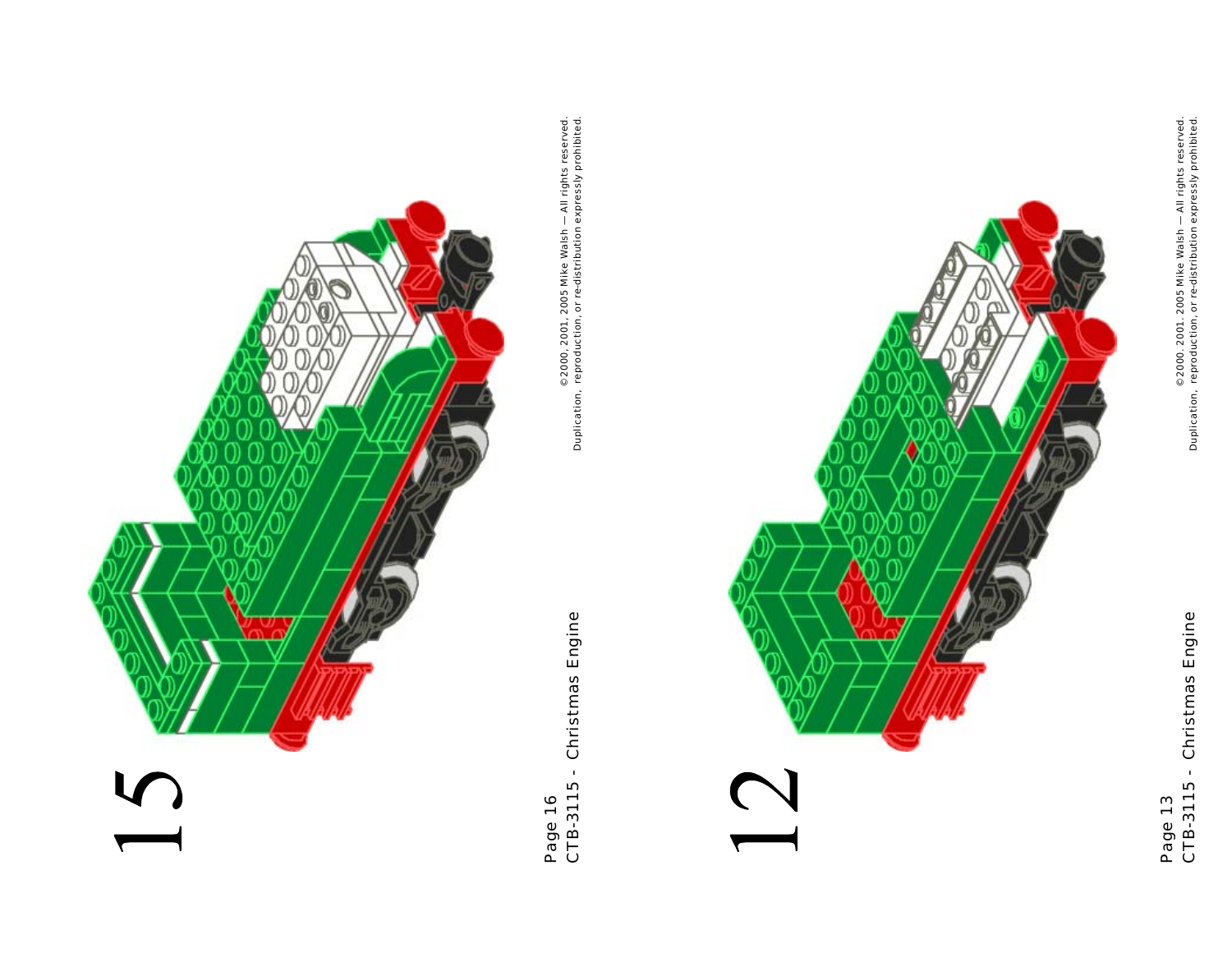